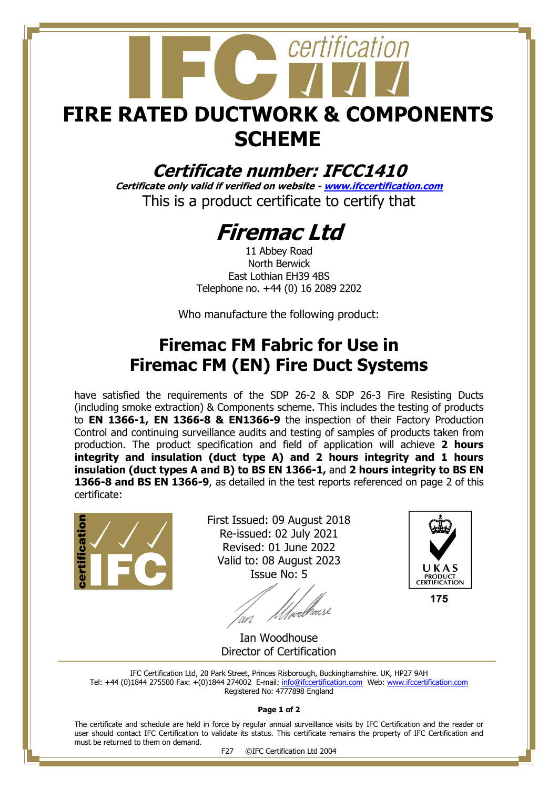# certification **FIRE RATED DUCTWORK & COMPONENTS SCHEME**

### **Certificate number: IFCC1410**

**Certificate only valid if verified on website - [www.ifccertification.com](http://www.ifccertification.com/)** This is a product certificate to certify that

## **Firemac Ltd**

11 Abbey Road North Berwick East Lothian EH39 4BS Telephone no. +44 (0) 16 2089 2202

Who manufacture the following product:

## **Firemac FM Fabric for Use in Firemac FM (EN) Fire Duct Systems**

have satisfied the requirements of the SDP 26-2 & SDP 26-3 Fire Resisting Ducts (including smoke extraction) & Components scheme. This includes the testing of products to **EN 1366-1, EN 1366-8 & EN1366-9** the inspection of their Factory Production Control and continuing surveillance audits and testing of samples of products taken from production. The product specification and field of application will achieve **2 hours integrity and insulation (duct type A) and 2 hours integrity and 1 hours insulation (duct types A and B) to BS EN 1366-1,** and **2 hours integrity to BS EN 1366-8 and BS EN 1366-9**, as detailed in the test reports referenced on page 2 of this certificate:



First Issued: 09 August 2018 Re-issued: 02 July 2021 Revised: 01 June 2022 Valid to: 08 August 2023 Issue No: 5

*Ulve*rbreuse



175

Ian Woodhouse Director of Certification

IFC Certification Ltd, 20 Park Street, Princes Risborough, Buckinghamshire. UK, HP27 9AH Tel: +44 (0)1844 275500 Fax: +(0)1844 274002 E-mail[: info@ifccertification.com](mailto:info@ifccertification.com) Web: [www.ifccertification.com](http://www.ifccertification.com/) Registered No: 4777898 England

**Page 1 of 2**

The certificate and schedule are held in force by regular annual surveillance visits by IFC Certification and the reader or user should contact IFC Certification to validate its status. This certificate remains the property of IFC Certification and must be returned to them on demand.

F27 ©IFC Certification Ltd 2004